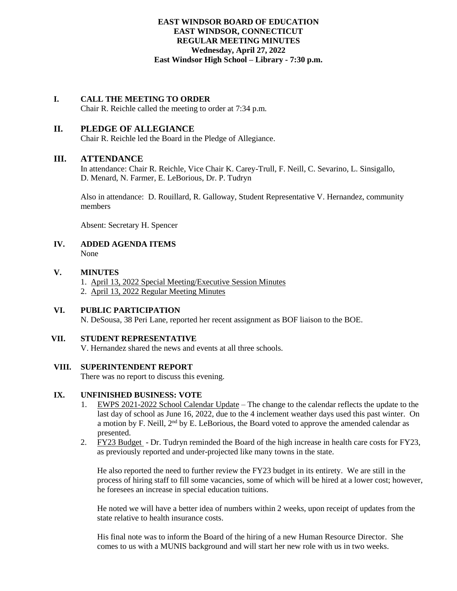# **EAST WINDSOR BOARD OF EDUCATION EAST WINDSOR, CONNECTICUT REGULAR MEETING MINUTES Wednesday, April 27, 2022 East Windsor High School – Library - 7:30 p.m.**

### **I. CALL THE MEETING TO ORDER**

Chair R. Reichle called the meeting to order at 7:34 p.m.

# **II. PLEDGE OF ALLEGIANCE**

Chair R. Reichle led the Board in the Pledge of Allegiance.

# **III. ATTENDANCE**

In attendance: Chair R. Reichle, Vice Chair K. Carey-Trull, F. Neill, C. Sevarino, L. Sinsigallo, D. Menard, N. Farmer, E. LeBorious, Dr. P. Tudryn

Also in attendance: D. Rouillard, R. Galloway, Student Representative V. Hernandez, community members

Absent: Secretary H. Spencer

### **IV. ADDED AGENDA ITEMS** None

#### **V. MINUTES**

- 1. April 13, 2022 Special Meeting/Executive Session Minutes
- 2. April 13, 2022 Regular Meeting Minutes

### **VI. PUBLIC PARTICIPATION**

N. DeSousa, 38 Peri Lane, reported her recent assignment as BOF liaison to the BOE.

### **VII. STUDENT REPRESENTATIVE**

V. Hernandez shared the news and events at all three schools.

### **VIII. SUPERINTENDENT REPORT**

There was no report to discuss this evening.

### **IX. UNFINISHED BUSINESS: VOTE**

- 1. EWPS 2021-2022 School Calendar Update The change to the calendar reflects the update to the last day of school as June 16, 2022, due to the 4 inclement weather days used this past winter. On a motion by F. Neill,  $2<sup>nd</sup>$  by E. LeBorious, the Board voted to approve the amended calendar as presented.
- 2. FY23 Budget Dr. Tudryn reminded the Board of the high increase in health care costs for FY23, as previously reported and under-projected like many towns in the state.

He also reported the need to further review the FY23 budget in its entirety. We are still in the process of hiring staff to fill some vacancies, some of which will be hired at a lower cost; however, he foresees an increase in special education tuitions.

He noted we will have a better idea of numbers within 2 weeks, upon receipt of updates from the state relative to health insurance costs.

His final note was to inform the Board of the hiring of a new Human Resource Director. She comes to us with a MUNIS background and will start her new role with us in two weeks.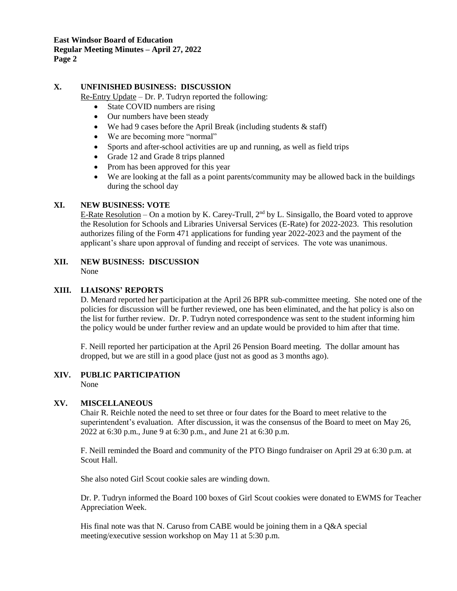# **X. UNFINISHED BUSINESS: DISCUSSION**

Re-Entry Update – Dr. P. Tudryn reported the following:

- State COVID numbers are rising
- Our numbers have been steady
- We had 9 cases before the April Break (including students & staff)
- We are becoming more "normal"
- Sports and after-school activities are up and running, as well as field trips
- Grade 12 and Grade 8 trips planned
- Prom has been approved for this year
- We are looking at the fall as a point parents/community may be allowed back in the buildings during the school day

# **XI. NEW BUSINESS: VOTE**

E-Rate Resolution – On a motion by K. Carey-Trull, 2<sup>nd</sup> by L. Sinsigallo, the Board voted to approve the Resolution for Schools and Libraries Universal Services (E-Rate) for 2022-2023. This resolution authorizes filing of the Form 471 applications for funding year 2022-2023 and the payment of the applicant's share upon approval of funding and receipt of services. The vote was unanimous.

#### **XII. NEW BUSINESS: DISCUSSION** None

# **XIII. LIAISONS' REPORTS**

D. Menard reported her participation at the April 26 BPR sub-committee meeting. She noted one of the policies for discussion will be further reviewed, one has been eliminated, and the hat policy is also on the list for further review. Dr. P. Tudryn noted correspondence was sent to the student informing him the policy would be under further review and an update would be provided to him after that time.

F. Neill reported her participation at the April 26 Pension Board meeting. The dollar amount has dropped, but we are still in a good place (just not as good as 3 months ago).

# **XIV. PUBLIC PARTICIPATION**

None

### **XV. MISCELLANEOUS**

Chair R. Reichle noted the need to set three or four dates for the Board to meet relative to the superintendent's evaluation. After discussion, it was the consensus of the Board to meet on May 26, 2022 at 6:30 p.m., June 9 at 6:30 p.m., and June 21 at 6:30 p.m.

F. Neill reminded the Board and community of the PTO Bingo fundraiser on April 29 at 6:30 p.m. at Scout Hall.

She also noted Girl Scout cookie sales are winding down.

Dr. P. Tudryn informed the Board 100 boxes of Girl Scout cookies were donated to EWMS for Teacher Appreciation Week.

His final note was that N. Caruso from CABE would be joining them in a Q&A special meeting/executive session workshop on May 11 at 5:30 p.m.